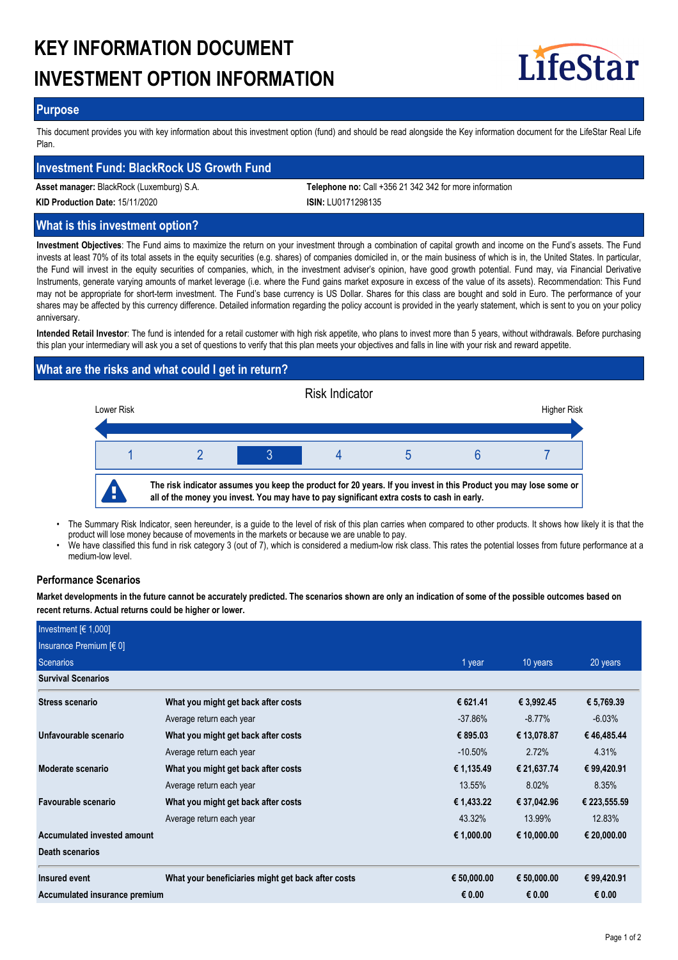# **KEY INFORMATION DOCUMENT INVESTMENT OPTION INFORMATION**



## **Purpose**

This document provides you with key information about this investment option (fund) and should be read alongside the Key information document for the LifeStar Real Life Plan.

## **Investment Fund: BlackRock US Growth Fund**

**Asset manager:** BlackRock (Luxemburg) S.A. **Telephone no:** Call +356 21 342 342 for more information

**KID Production Date:** 15/11/2020 **ISIN:** LU0171298135

## **What is this investment option?**

**Investment Objectives**: The Fund aims to maximize the return on your investment through a combination of capital growth and income on the Fund's assets. The Fund invests at least 70% of its total assets in the equity securities (e.g. shares) of companies domiciled in, or the main business of which is in, the United States. In particular, the Fund will invest in the equity securities of companies, which, in the investment adviser's opinion, have good growth potential. Fund may, via Financial Derivative Instruments, generate varying amounts of market leverage (i.e. where the Fund gains market exposure in excess of the value of its assets). Recommendation: This Fund may not be appropriate for short-term investment. The Fund's base currency is US Dollar. Shares for this class are bought and sold in Euro. The performance of your shares may be affected by this currency difference. Detailed information regarding the policy account is provided in the yearly statement, which is sent to you on your policy anniversary.

**Intended Retail Investor**: The fund is intended for a retail customer with high risk appetite, who plans to invest more than 5 years, without withdrawals. Before purchasing this plan your intermediary will ask you a set of questions to verify that this plan meets your objectives and falls in line with your risk and reward appetite.

# **What are the risks and what could I get in return?**



- The Summary Risk Indicator, seen hereunder, is a guide to the level of risk of this plan carries when compared to other products. It shows how likely it is that the product will lose money because of movements in the markets or because we are unable to pay. •
- We have classified this fund in risk category 3 (out of 7), which is considered a medium-low risk class. This rates the potential losses from future performance at a medium-low level. •

## **Performance Scenarios**

**Market developments in the future cannot be accurately predicted. The scenarios shown are only an indication of some of the possible outcomes based on recent returns. Actual returns could be higher or lower.**

| Investment $[6 1,000]$        |                                                    |             |             |              |
|-------------------------------|----------------------------------------------------|-------------|-------------|--------------|
| Insurance Premium $[6 0]$     |                                                    |             |             |              |
| <b>Scenarios</b>              |                                                    | 1 year      | 10 years    | 20 years     |
| <b>Survival Scenarios</b>     |                                                    |             |             |              |
| <b>Stress scenario</b>        | What you might get back after costs                | € 621.41    | € 3,992.45  | € 5,769.39   |
|                               | Average return each year                           | $-37.86\%$  | $-8.77\%$   | $-6.03%$     |
| Unfavourable scenario         | What you might get back after costs                | € 895.03    | € 13,078.87 | €46,485.44   |
|                               | Average return each year                           | $-10.50\%$  | 2.72%       | 4.31%        |
| Moderate scenario             | What you might get back after costs                | € 1,135.49  | € 21,637.74 | € 99,420.91  |
|                               | Average return each year                           | 13.55%      | 8.02%       | 8.35%        |
| Favourable scenario           | What you might get back after costs                | € 1,433.22  | € 37,042.96 | € 223,555.59 |
|                               | Average return each year                           | 43.32%      | 13.99%      | 12.83%       |
| Accumulated invested amount   |                                                    | € 1,000.00  | € 10,000.00 | € 20,000.00  |
| <b>Death scenarios</b>        |                                                    |             |             |              |
| Insured event                 | What your beneficiaries might get back after costs | € 50,000.00 | € 50,000.00 | € 99,420.91  |
| Accumulated insurance premium |                                                    | € 0.00      | € 0.00      | € 0.00       |